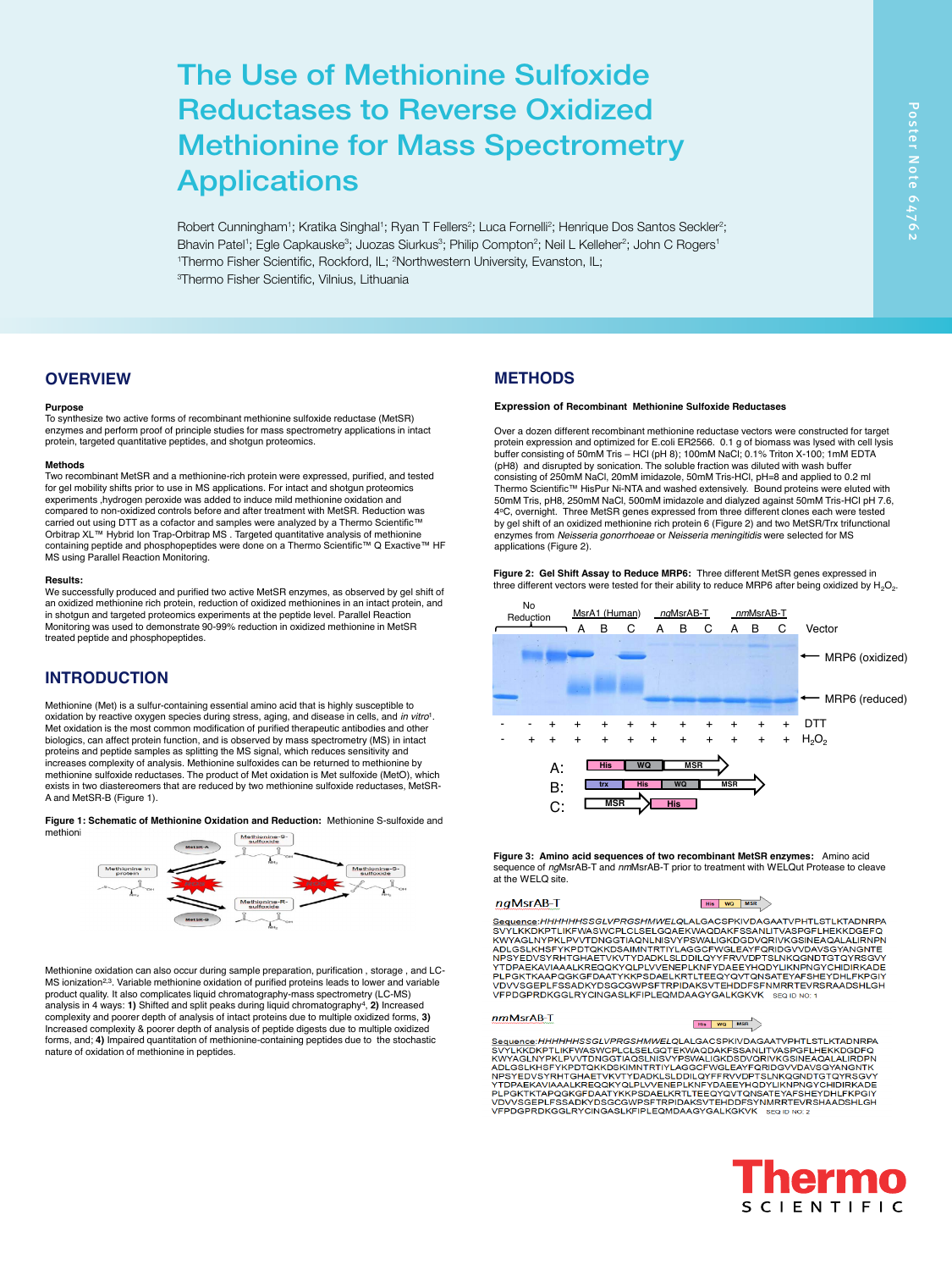Robert Cunningham<sup>1</sup>; Kratika Singhal<sup>1</sup>; Ryan T Fellers<sup>2</sup>; Luca Fornelli<sup>2</sup>; Henrique Dos Santos Seckler<sup>2</sup>; Bhavin Patel<sup>1</sup>; Egle Capkauske<sup>3</sup>; Juozas Siurkus<sup>3</sup>; Philip Compton<sup>2</sup>; Neil L Kelleher<sup>2</sup>; John C Rogers<sup>1</sup> <sup>1</sup>Thermo Fisher Scientific, Rockford, IL; <sup>2</sup>Northwestern University, Evanston, IL; 3 Thermo Fisher Scientific, Vilnius, Lithuania **Thermo Fisher Scientific, Rockford, IL; <sup>2</sup>Northwestern University, Evanston, IL;<br><sup>3</sup>Thermo Fisher Scientific, Vilnius, Lithuania**  $\mathcal{L}$  is a supported purified proteins leads to lower and variable purified proteins leads to lower and variable purified proteins leads to lower and variable purified proteins leads to lower and variable purified prot

# **OVERVIEW**

## **Purpose**

To synthesize two active forms of recombinant methionine sulfoxide reductase (MetSR) enzymes and perform proof of principle studies for mass spectrometry applications in intact protein, targeted quantitative peptides, and shotgun proteomics.

## **Methods**

Two recombinant MetSR and a methionine-rich protein were expressed, purified, and tested for gel mobility shifts prior to use in MS applications. For intact and shotgun proteomics experiments ,hydrogen peroxide was added to induce mild methionine oxidation and carried out using DTT as a cofactor and samples were analyzed by a Thermo Scientific™ containing peptide and phosphopeptides were done on a Thermo Scientific™ Q Exactive™ HF MS using Parallel Reaction Monitoring.

## **Results:**

We successfully produced and purified two active MetSR enzymes, as observed by gel shift of an oxidized methionine rich protein, reduction of oxidized methionines in an intact protein, and<br>in shotgun and targeted proteomics experiments at the peptide level. Parallel Reaction Monitoring was used to demonstrate 90-99% reduction in oxidized methionine in MetSR treated peptide and phosphopeptides.

### **INTRODUCTION**  $\ldots$   $\ldots$   $\ldots$   $\ldots$   $\ldots$   $\ldots$   $\ldots$   $\ldots$   $\ldots$   $\ldots$   $\ldots$   $\ldots$   $\ldots$   $\ldots$   $\ldots$   $\ldots$   $\ldots$   $\ldots$   $\ldots$   $\ldots$   $\ldots$   $\ldots$   $\ldots$   $\ldots$   $\ldots$   $\ldots$   $\ldots$   $\ldots$   $\ldots$   $\ldots$   $\ldots$   $\ldots$   $\ldots$   $\ldots$   $\ldots$   $\ldots$   $\ldots$

Methionine (Met) is a sulfur-containing essential amino acid that is highly susceptible to oxidation by reactive oxygen species during stress, aging, and disease in cells, and *in vitro*<sup>1</sup>. Met oxidation is the most common modification of purified therapeutic antibodies and other biologics, can affect protein function, and is observed by mass spectrometry (MS) in intact proteins and peptide samples as splitting the MS signal, which reduces sensitivity and<br>increases complexity of analysis. Methionine sulfoxides can be returned to methionine by methionine sulfoxide reductases. The product of Met oxidation is Met sulfoxide (MetO), which products: *Results: <b>Results:* exists in two diastereomers that are reduced by two methionine sulfoxide reductases, MetSR-A and MetSR-B (Figure 1).

Figure 1: Schematic of Methionine Oxidation and Reduction: Methionine S-sulfoxide and  $m$ ethioni $\overline{\phantom{m}}$ 



Methionine oxidation can also occur during sample preparation, purification, storage, and LC-MS ionization<sup>2,3</sup>. Variable methionine oxidation of purified proteins leads to lower and variable product quality. It also complicates liquid chromatography-mass spectrometry (LC-MS) analysis in 4 ways: **1)** Shifted and split peaks during liquid chromatography4, **2)** Increased complexity and poorer depth of analysis of intact proteins due to multiple oxidized forms, 3) Increased complexity & poorer depth of analysis of peptide digests due to multiple oxidized forms, and; **4)** Impaired quantitation of methionine-containing peptides due to the stochastic nature of oxidation of methionine in peptides.

# $F_{\rm F}$ **METHODS**

1Thermo Fisher Scientific, Rockford, IL; 2Northwestern University, Evanston, IL; 3Thermo Fisher Scientific, Vilnius, Lithuania

## **Expression of Recombinant Methionine Sulfoxide Reductases**

experiments ,hydrogen peroxide was added to induce mild methionine oxidation and states and Tris, pH8, 250mM MaCl, 500mM inidazole and dialyzed against 50mM Tris-HCl pH 7.6,<br>compared to non-oxidized controls before and aft carned out using DTT as a cofactor and samples were analyzed by a Thermo Scientific™ by gel shift of an oxidized methionine rich protein 6 (Figure 2) and two MetSR/Trx trifunctional Critic inclusional contentional content 50mM Tris, pH8, 250mM NaCl, 500mM imidazole and dialyzed against 50mM Tris-HCl pH 7.6,<br>1988  $(pl48)$  and disrupted by sonication. The soluble fraction was diluted with wash buffer by gel shift of an oxidized methionine rich protein 6 (Figure 2) and two MetSR/Trx trifunctional<br>---------- figure Africa site assemblance on Methodisch metal-sitelite uses as lasted for MO Over a dozen different recombinant methionine reductase vectors were constructed for target enzymes from *Neisseria gonorrhoeae* or *Neisseria meningitidis* were selected for MS<br>applications (Figure 2). protein expression and optimized for E.coli ER2566. 0.1 g of biomass was lysed with cell lysis buffer consisting of 50mM Tris – HCl (pH 8); 100mM NaCl; 0.1% Triton X-100; 1mM EDTA של buffer consisting of 50mM Tris – HCl (pH 8); 100mM NaCl; 0.1% Triton X-100; 1mM EDTA<br>(pH8) and disrupted by sonication. The soluble fraction was but the wash but the wash but the washing of 250mM NaCl; 20mM imidazole, 4oC, overnight. Three MetSR genes expressed from three different clones each were tested applications (Figure 2).

analysis in 4 ways: **1)** Shifted and split peaks during liquid chromatography4, **2)** Increased complexity and poorer depth of analysis of intact proteins due to multiple oxidized forms, **3)**  Increased complexity & poorer depth of analysis of peptide digests due to multiple oxidized

oxidation by reactive oxygen species during stress, aging, and disease in cells, and *in vitro*1. Met oxidation is the most common modification of purified therapeutic antibodies and other biologics, can affect protein function, and is observed by mass spectrometry (MS) in interved by mass spectrometry (MS) in interved by mass spectrometry (MS) in interved by mass spectrometry (MS) in interved by mass spect

Figure 2: Gel Shift Assay to Reduce MRP6: Three different MetSR genes expressed in three different vectors were tested for their ability to reduce MRP6 after being oxidized by H<sub>2</sub>O<sub>2</sub>.<br>.



**Figure 3: Amino acid sequences of two recombinant MetSR enzymes:** Amino acid sequence of *ng*MsrAB-T and *nm*MsrAB-T prior to treatment with WELQut Protease to cleave at the WELO site.

### naMsrAB-T

### His WO MSR

YLKKURP I LIKF WASWCPLCLSELGGAEKWAQUARF SSANLI I VASPGFLHEKKUGEF Q<br>IYAGLNYPKLPVVASWCPLCLSELGGAEKWAQUARF SSANLI I VASPGFLHEKKUGEF Q<br>LGSLKHSFYKPDTQKKDSAIMNTRTIYLAGGCFWGLEAYFQRIDGVVDAVSGYANGNTE<br>SYEDVSYRHTGHAETVKVTYDADKLSLDDIL PER MOLE OF PER MOLE OF THUS A 1:1 MOLE OF PROTEIN AND THUS A 1:1 MOLE OF THUS A 1:1 MOLE OF THUS A 1:1 MOLE OF THE H2O2 FOR MOLE OF THUS A 1:1 MOLE OF THE H2O2 FOR H2O2 FOR H2O2 FOR H2O2 FOR H2O2 FOR H2O2 FOR H2O2 FOR H2O

### $MsrAB-T$ and 1:75, the rest of the data are not shown in the data are not shown in the data are not shown in the data are not shown in the data are not shown in the data are not shown in the data are not shown in the data are not s

/LKKDKPTLIKFWASWCPLCLSELGQTEKWAQDAKFSSANLITVASPGFLHEKKDGDFQ<br>YAGLNYPKLPVVTDNGGTIAQSLNISVYPSWALIGKDSDVQRIVKGSINEAQALALIRDPN<br>LGSLKHSFYKPDTQKKDSKIMNTRTIYLAGGCFWGLEAYFQNDVSVORVSGYANGNTK<br>SYEDVSYRHTGHAETVKVTYDADKLSLDDILQYFFRVVDPT **VFPDGPRDKGGLRYCINGASLKFIPLEOMDAAGYGALKGKVK** SEQ ID NO: 2 **Shotgun Proteomics Coupled with Methionine Oxidation Reduction**



Robert Cunningham1; Kratika Singhal1; Ryan T Fellers2; Luca Fornelli2; Henrique Dos Santos Seckler2; Bhavin Patel1; Egle Capkauske3; Juozas Siurkus3; Philip Compton2; Neil L Kelleher2; John C Rogers1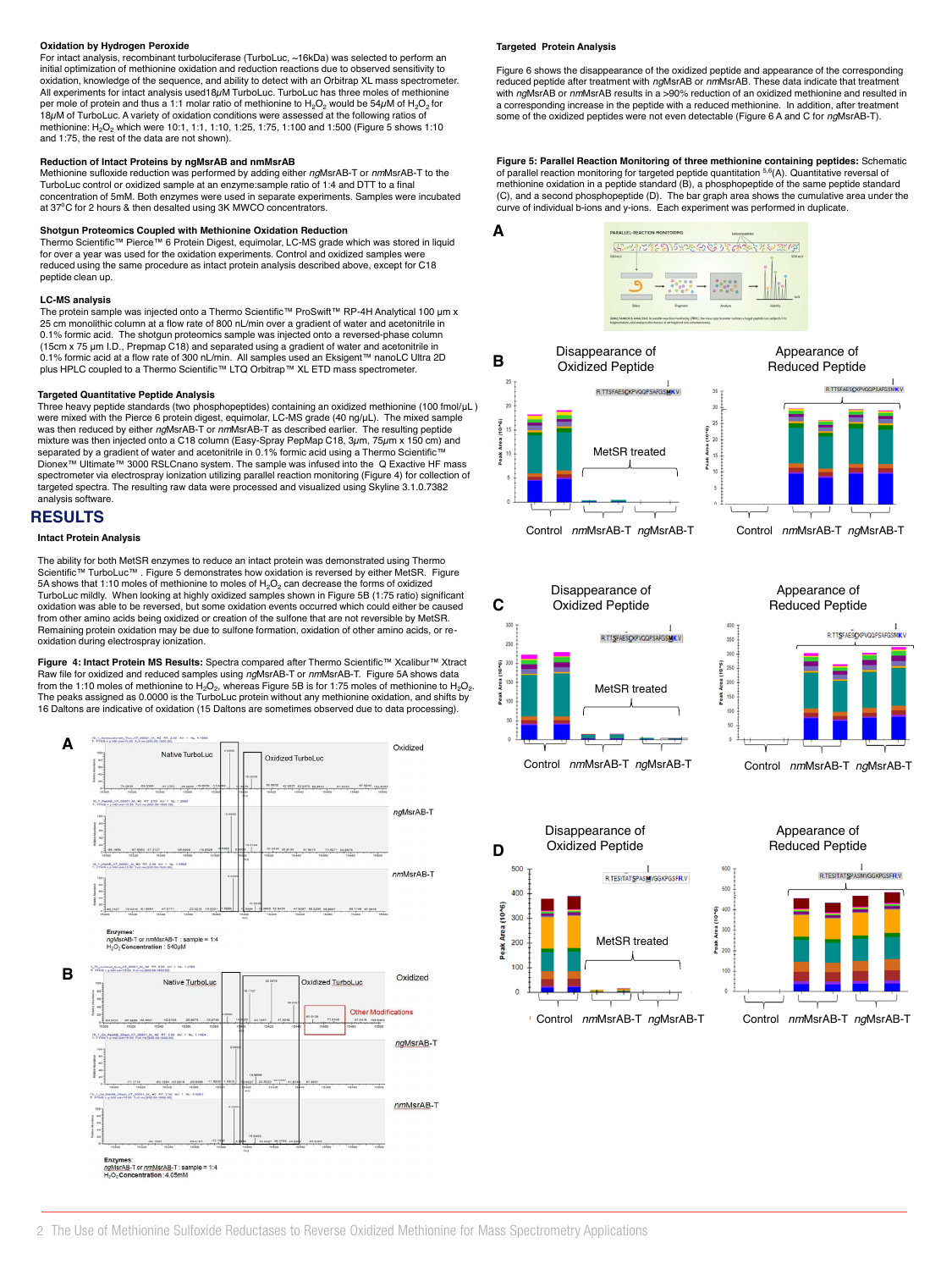## **Oxidation by Hydrogen Peroxide**

For intact analysis, recombinant turboluciferase (TurboLuc, ~16kDa) was selected to perform an initial optimization of methionine oxidation and reduction reactions due to observed sensitivity to oxidation, knowledge of the sequence, and ability to detect with an Orbitrap XL mass spectrometer. All experiments for intact analysis used 18µM TurboLuc. TurboLuc has three moles of methionine with *ng*MsrAB or *nm*MsrAB results in a >90% reduction of methionine with *ngMsrAB* or *nmMsrAB* results in a >90% reduction a per mole of protein and thus a 1:1 molar ratio of methionine to  $H_2O_2$  would be 54 $\mu$ M of  $H_2O_2$  for 18µM of TurboLuc. A variety of oxidation conditions were assessed at the following ratios of methionine:  $H_2O_2$  which were 10:1, 1:1, 1:10, 1:25, 1:75, 1:100 and 1:500 (Figure 5 shows 1:10 and 1:75, the rest of the data are not shown). 18 $\mu$ M of TurboLuc. A variantific in  $\mu$ **Oxidation by Hydrogen Peroxide**<br>For intact analysis, recombinant turboluciferase (TurboLuc, ∼16kDa) was selected to perform an **Fargeted Protein Analysis**<br>initial optimization of methionine oxidation and reduction reacti

## **Reduction of Intact Proteins by ngMsrAB and nmMsrAB**

Methionine sufloxide reduction was performed by adding either *ng*MsrAB-T or nmMsrAB-T to the TurboLuc control or oxidized sample at an enzyme:sample ratio of 1:4 and DTT to a final concentration of 5mM. Both enzymes were used in separate experiments. Samples were incubated at 37<sup>o</sup>C for 2 hours & then desalted using 3K MWCO concentrators.

**Shotgun Proteomics Coupled with Methionine Oxidation Reduction**<br>Thermo Scientific™ Pierce™ 6 Protein Digest, equimolar, LC-MS grade which was stored in liquid for over a year was used for the oxidation experiments. Control and oxidized samples were reduced using the same procedure as intact protein analysis described above, except for C18 peptide clean up. S**hotgun Proteomics Coupled with Methionine Oxidation Reduction**<br>Thermo Scientific™ Pierce™ 6 Protein Digest, equimolar, LC-MS grade which was stored in liqu

## **LC-MS analysis**

The protein sample was injected onto a Thermo Scientific™ ProSwift™ RP-4H Analytical 100 μm x **Intact Protein Analysis** 25 cm monolithic column at a flow rate of 800 nL/min over a gradient of water and acetonitrile in<br>0.1% formic acid. The shotgun proteomics sample was injected onto a reversed-phase column (15cm x 75 μm I.D., Prepmap C18) and separated using a gradient of water and acetonitrile in 0.1% formic acid at a flow rate of 300 nL/min. All samples used an Eksigent™ nanoLC Ultra 2D<br>plus HPLC coupled to a Thermo Scientific™ LTQ Orbitrap™ XL ETD mass spectrometer. 15cm x 75 µm I.D., Prepmap C)<br>0.1% formic acid at a flow rate c (1990) in the Symmic and a flow rate of 300 nL spignated using a graduent of water and actionmine in<br>1.1% formic acid at a flow rate of 300 nL/min. All samples used an Eksigent™ nanoLC Ultra 2<br>1.1% formic acid at a flow r

# **Targeted Quantitative Peptide Analysis**<br> **Targeted Quantitative Peptide Analysis**

**Targeted Quantitative Peptide Analysis**<br>Three heavy peptide standards (two phosphopeptides) containing an oxidized methionine (100 fmol/µL) were mixed with the Pierce 6 protein digest, equimolar, LC-MS grade (40 ng/μL). The mixed sample was then reduced by either *ng*MsrAB-T or *nm*MsrAB-T as described earlier. The resulting peptide mixture was then injected onto a C18 column (Easy-Spray PepMap C18, 3µm, 75µm x 150 cm) and separated by a gradient of water and acetonitrile in 0.1% formic acid using a Thermo Scientific™ Dionex™ Ultimate™ 3000 RSLCnano system. The sample was infused into the Q Exactive HF mass<br>spectrometer via electrospray ionization utilizing parallel reaction monitoring (Figure 4) for collection of targeted spectra. The resulting raw data were processed and visualized using Skyline 3.1.0.7382 analysis software.

# **RESULTS A**

## **Intact Protein Analysis**

The ability for both MetSR enzymes to reduce an intact protein was demonstrated using Thermo Scientific™ TurboLuc™ . Figure 5 demonstrates how oxidation is reversed by either MetSR. Figure 5A shows that 1:10 moles of methionine to moles of  $H_2O_2$  can decrease the forms of oxidized TurboLuc mildly. When looking at highly oxidized samples shown in Figure 5B (1:75 ratio) significant oxidation was able to be reversed, but some oxidation events occurred which could either be caused from other amino acids being oxidized or creation of the sulfone that are not reversible by MetSR. Remaining protein oxidation may be due to sulfone formation, oxidation of other amino acids, or reoxidation during electrospray ionization.

**Figure 4: Intact Protein MS Results:** Spectra compared after Thermo Scientific™ Xcalibur™ Xtract<br>Raw file for oxidized and reduced samples using *ng*MsrAB-T or *nm*MsrAB-T. Figure 5A shows data<br>from the 1:10 moles of met The peaks assigned as 0.0000 is the TurboLuc protein without any methionine oxidation, and shifts by 16 Daltons are indicative of oxidation (15 Daltons are sometimes observed due to data processing).



## **Targeted Protein Analysis**

**A**

**Figure 6 shows the disappearance of the oxidized peptide and appearance of the corresponding** reduced peptide after treatment with *ng*MsrAB or *nm*MsrAB. These data indicate that treatment with *ng*MsrAB or *nm*MsrAB results in a >90% reduction of an oxidized methionine and resulted in a corresponding increase in the peptide with a reduced methionine. In addition, after treatment some of the oxidized peptides were not even detectable (Figure 6 A and C for *ng*MsrAB-T).

**Figure 5: Parallel Reaction Monitoring of three methionine containing peptides:** Schematic of parallel reaction monitoring for targeted peptide quantitation 5,6(A). Quantitative reversal of methionine oxidation in a peptide standard (B), a phosphopeptide of the same peptide standard (C), and a second phosphopeptide (D). The bar graph area shows the cumulative area under the curve of individual b-ions and y-ions. Each experiment was performed in duplicate









Appearance of Appearance of Reduced Peptide Reduced Peptide







 $\Delta$ 00

300

흉<br>윤 200